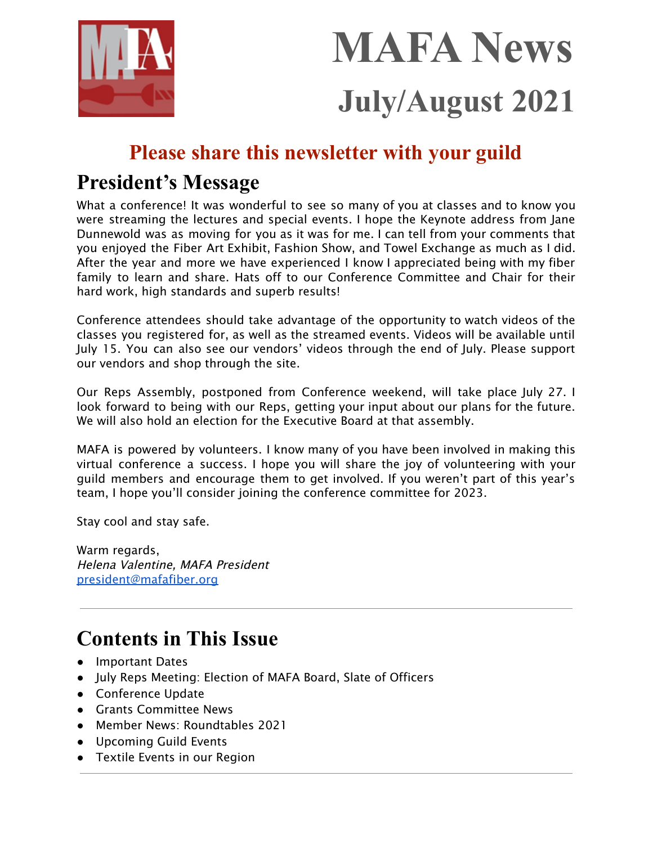

# **MAFA News July/August 2021**

# **Please share this newsletter with your guild**

# **President's Message**

What a conference! It was wonderful to see so many of you at classes and to know you were streaming the lectures and special events. I hope the Keynote address from Jane Dunnewold was as moving for you as it was for me. I can tell from your comments that you enjoyed the Fiber Art Exhibit, Fashion Show, and Towel Exchange as much as I did. After the year and more we have experienced I know I appreciated being with my fiber family to learn and share. Hats off to our Conference Committee and Chair for their hard work, high standards and superb results!

Conference attendees should take advantage of the opportunity to watch videos of the classes you registered for, as well as the streamed events. Videos will be available until July 15. You can also see our vendors' videos through the end of July. Please support our vendors and shop through the site.

Our Reps Assembly, postponed from Conference weekend, will take place July 27. I look forward to being with our Reps, getting your input about our plans for the future. We will also hold an election for the Executive Board at that assembly.

MAFA is powered by volunteers. I know many of you have been involved in making this virtual conference a success. I hope you will share the joy of volunteering with your guild members and encourage them to get involved. If you weren't part of this year's team, I hope you'll consider joining the conference committee for 2023.

Stay cool and stay safe.

Warm regards, Helena Valentine, MAFA President [president@mafafiber.org](mailto:president@mafafiber.org)

# **Contents in This Issue**

- Important Dates
- July Reps Meeting: Election of MAFA Board, Slate of Officers
- Conference Update
- Grants Committee News
- Member News: Roundtables 2021
- Upcoming Guild Events
- Textile Events in our Region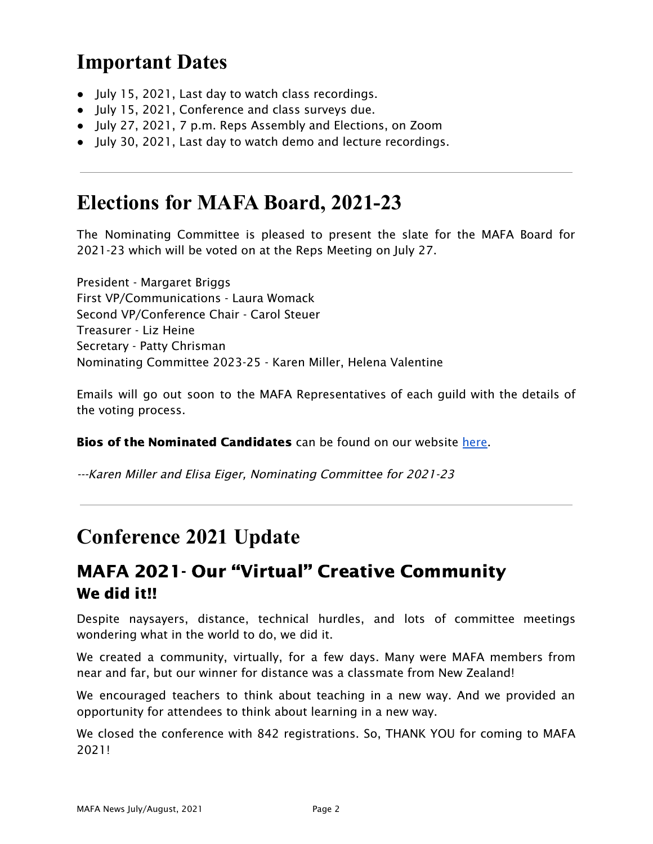# **Important Dates**

- July 15, 2021, Last day to watch class recordings.
- July 15, 2021, Conference and class surveys due.
- July 27, 2021, 7 p.m. Reps Assembly and Elections, on Zoom
- July 30, 2021, Last day to watch demo and lecture recordings.

# **Elections for MAFA Board, 2021-23**

The Nominating Committee is pleased to present the slate for the MAFA Board for 2021-23 which will be voted on at the Reps Meeting on July 27.

President - Margaret Briggs First VP/Communications - Laura Womack Second VP/Conference Chair - Carol Steuer Treasurer - Liz Heine Secretary - Patty Chrisman Nominating Committee 2023-25 - Karen Miller, Helena Valentine

Emails will go out soon to the MAFA Representatives of each guild with the details of the voting process.

**Bios of the Nominated Candidates** can be found on our website [here](https://mafafiber.org/about-us/contact-us/mafa-officer-bios/).

---Karen Miller and Elisa Eiger, Nominating Committee for 2021-23

# **Conference 2021 Update**

# MAFA 2021- Our "Virtual" Creative Community We did it!!

Despite naysayers, distance, technical hurdles, and lots of committee meetings wondering what in the world to do, we did it.

We created a community, virtually, for a few days. Many were MAFA members from near and far, but our winner for distance was a classmate from New Zealand!

We encouraged teachers to think about teaching in a new way. And we provided an opportunity for attendees to think about learning in a new way.

We closed the conference with 842 registrations. So, THANK YOU for coming to MAFA 2021!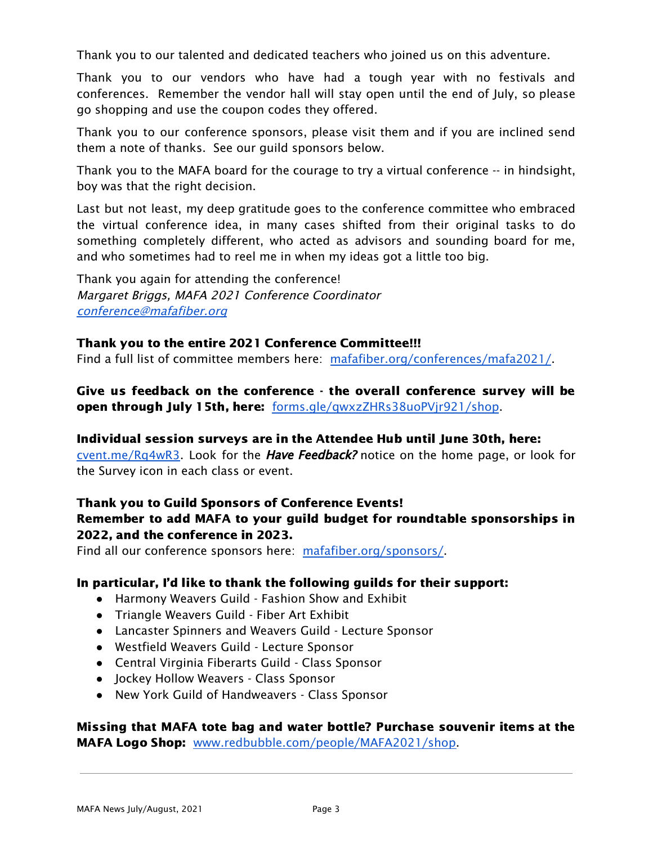Thank you to our talented and dedicated teachers who joined us on this adventure.

Thank you to our vendors who have had a tough year with no festivals and conferences. Remember the vendor hall will stay open until the end of July, so please go shopping and use the coupon codes they offered.

Thank you to our conference sponsors, please visit them and if you are inclined send them a note of thanks. See our guild sponsors below.

Thank you to the MAFA board for the courage to try a virtual conference -- in hindsight, boy was that the right decision.

Last but not least, my deep gratitude goes to the conference committee who embraced the virtual conference idea, in many cases shifted from their original tasks to do something completely different, who acted as advisors and sounding board for me, and who sometimes had to reel me in when my ideas got a little too big.

Thank you again for attending the conference! Margaret Briggs, MAFA 2021 Conference Coordinator [conference@mafafiber.org](mailto:conference@mafafiber.org)

### Thank you to the entire 2021 Conference Committee!!!

Find a full list of committee members here: [mafafiber.org/conferences/mafa2021/](https://mafafiber.org/conferences/mafa2021/).

Give us feedback on the conference - the overall conference survey will be open through July 15th, here: [forms.gle/qwxzZHRs38uoPVjr921/shop](https://forms.gle/qwxzZHRs38uoPVjr9).

#### Individual session surveys are in the Attendee Hub until June 30th, here:

[cvent.me/Rq4wR3.](https://cvent.me/Rq4wR3) Look for the *Have Feedback?* notice on the home page, or look for the Survey icon in each class or event.

## Thank you to Guild Sponsors of Conference Events!

### Remember to add MAFA to your guild budget for roundtable sponsorships in 2022, and the conference in 2023.

Find all our conference sponsors here: [mafafiber.org/sponsors/](https://mafafiber.org/sponsors/).

#### In particular, I'd like to thank the following guilds for their support:

- Harmony Weavers Guild Fashion Show and Exhibit
- Triangle Weavers Guild Fiber Art Exhibit
- Lancaster Spinners and Weavers Guild Lecture Sponsor
- Westfield Weavers Guild Lecture Sponsor
- Central Virginia Fiberarts Guild Class Sponsor
- Jockey Hollow Weavers Class Sponsor
- New York Guild of Handweavers Class Sponsor

Missing that MAFA tote bag and water bottle? Purchase souvenir items at the MAFA Logo Shop: [www.redbubble.com/people/MAFA2021/shop.](https://www.redbubble.com/people/MAFA2021/shop)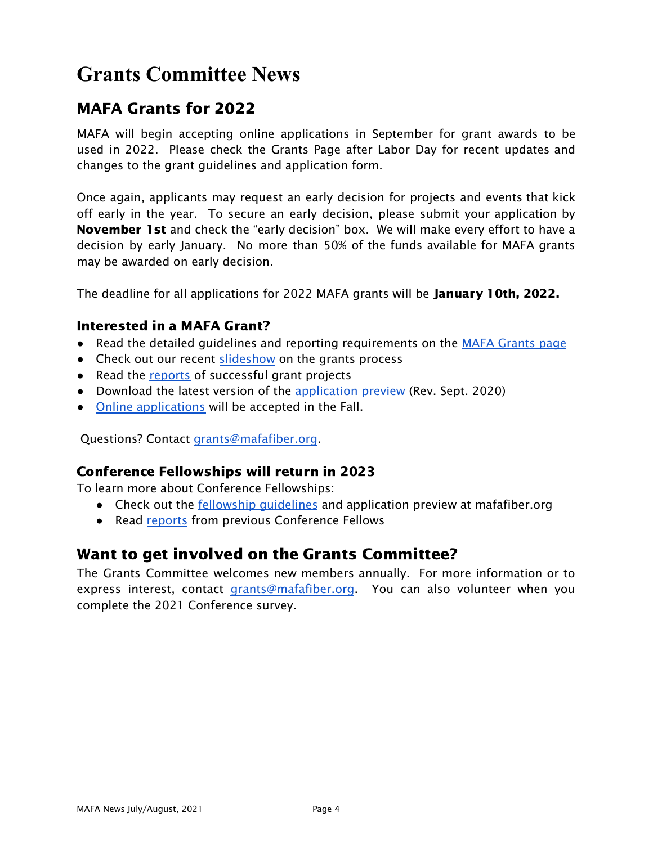# **Grants Committee News**

# MAFA Grants for 2022

MAFA will begin accepting online applications in September for grant awards to be used in 2022. Please check the Grants Page after Labor Day for recent updates and changes to the grant guidelines and application form.

Once again, applicants may request an early decision for projects and events that kick off early in the year. To secure an early decision, please submit your application by November 1st and check the "early decision" box. We will make every effort to have a decision by early January. No more than 50% of the funds available for MAFA grants may be awarded on early decision.

The deadline for all applications for 2022 MAFA grants will be **January 10th, 2022.** 

## Interested in a MAFA Grant?

- Read the detailed guidelines and reporting requirements on the MAFA [Grants](https://mafafiber.org/grants/guild-grants/) page
- Check out our recent [slideshow](https://mafafiber.org/wp-content/uploads/Grants/MAFA-Grants-Slides-compressed.pdf) on the grants process
- Read the [reports](https://mafafiber.org/grants/guild-grants/grant-awards/) of successful grant projects
- Download the latest version of the [application](https://mafafiber.org/wp-content/uploads/Forms/MAFA-GRANT-APPLICATION-preview.pdf) preview (Rev. Sept. 2020)
- Online [applications](https://mafafiber.org/grants/guild-grants/grant-application/) will be accepted in the Fall.

Questions? Contact [grants@mafafiber.org.](mailto:grants@mafafiber.org)

## Conference Fellowships will return in 2023

To learn more about Conference Fellowships:

- Check out the <u>fellowship quidelines</u> and application preview at mafafiber.org
- Read [reports](https://mafafiber.org/grants/fellowships/fellowship-awards/) from previous Conference Fellows

## Want to get involved on the Grants Committee?

The Grants Committee welcomes new members annually. For more information or to express interest, contact [grants@mafafiber.org](mailto:grants@mafafiber.org). You can also volunteer when you complete the 2021 Conference survey.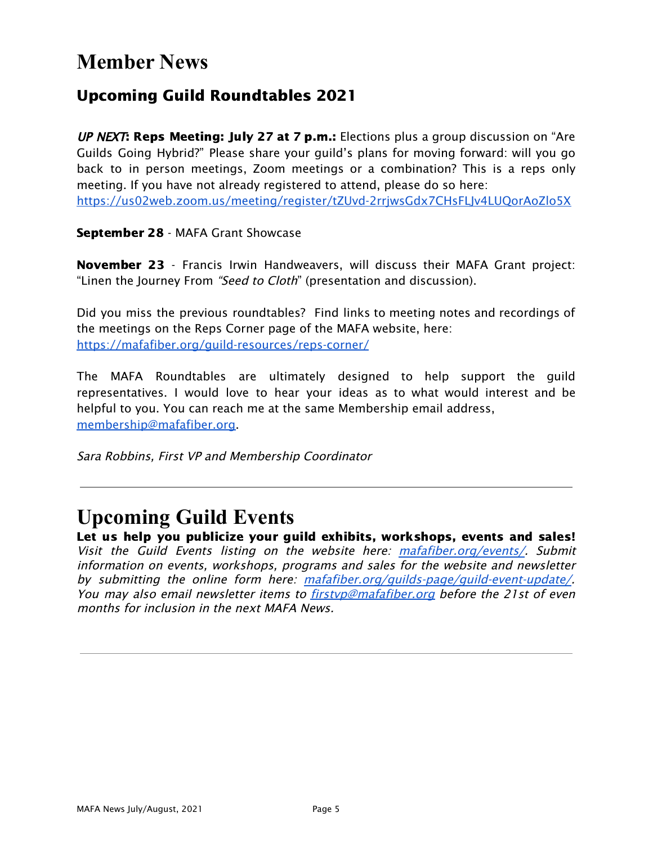# **Member News**

# Upcoming Guild Roundtables 2021

UP NEXT: Reps Meeting: July 27 at 7 p.m.: Elections plus a group discussion on "Are Guilds Going Hybrid?" Please share your guild's plans for moving forward: will you go back to in person meetings, Zoom meetings or a combination? This is a reps only meeting. If you have not already registered to attend, please do so here: <https://us02web.zoom.us/meeting/register/tZUvd-2rrjwsGdx7CHsFLJv4LUQorAoZlo5X>

September 28 - MAFA Grant Showcase

November 23 - Francis Irwin Handweavers, will discuss their MAFA Grant project: "Linen the Journey From "Seed to Cloth" (presentation and discussion).

Did you miss the previous roundtables? Find links to meeting notes and recordings of the meetings on the Reps Corner page of the MAFA website, here: <https://mafafiber.org/guild-resources/reps-corner/>

The MAFA Roundtables are ultimately designed to help support the guild representatives. I would love to hear your ideas as to what would interest and be helpful to you. You can reach me at the same Membership email address, [membership@mafafiber.org.](mailto:membership@mafafiber.org)

Sara Robbins, First VP and Membership Coordinator

# **Upcoming Guild Events**

Let us help you publicize your guild exhibits, workshops, events and sales! Visit the Guild Events listing on the website here: [mafafiber.org/events/](https://mafafiber.org/events/). Submit information on events, workshops, programs and sales for the website and newsletter by submitting the online form here: [mafafiber.org/guilds-page/guild-event-update/](https://mafafiber.org/guilds-page/guild-event-update/). You may also email newsletter items to **[firstvp@mafafiber.org](mailto:firstvp@mafafiber.org)** before the 21st of even months for inclusion in the next MAFA News.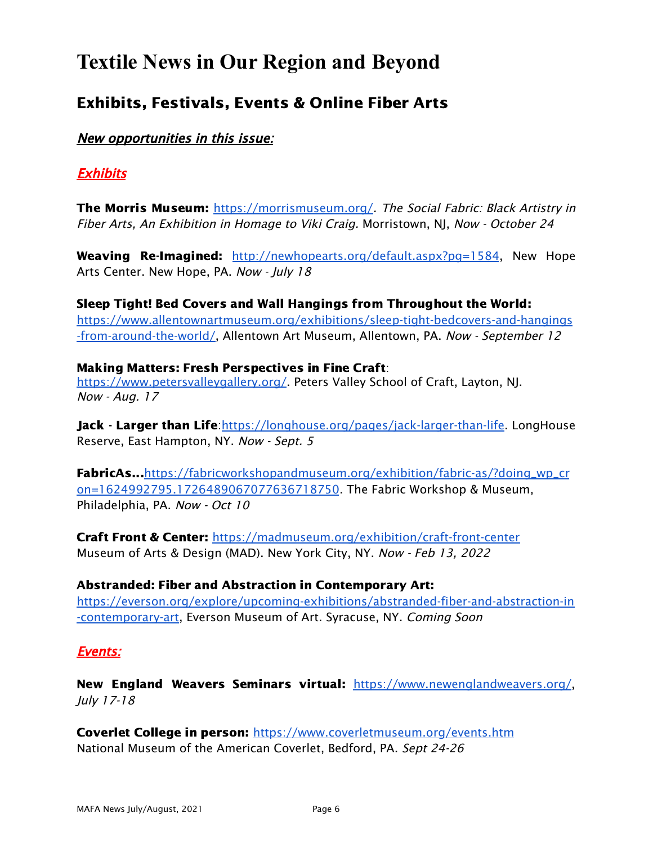# **Textile News in Our Region and Beyond**

# Exhibits, Festivals, Events & Online Fiber Arts

New opportunities in this issue:

## Exhibits

The Morris Museum: <https://morrismuseum.org/>. The Social Fabric: Black Artistry in Fiber Arts, An Exhibition in Homage to Viki Craig. Morristown, NJ, Now - October 24

Weaving Re-Imagined: http://newhopearts.org/default.aspx?pq=1584, New Hope Arts Center. New Hope, PA. Now - July 18

Sleep Tight! Bed Covers and Wall Hangings from Throughout the World: [https://www.allentownartmuseum.org/exhibitions/sleep-tight-bedcovers-and-hangings](https://www.allentownartmuseum.org/exhibitions/sleep-tight-bedcovers-and-hangings-from-around-the-world/) [-from-around-the-world/](https://www.allentownartmuseum.org/exhibitions/sleep-tight-bedcovers-and-hangings-from-around-the-world/), Allentown Art Museum, Allentown, PA. Now - September 12

### Making Matters: Fresh Perspectives in Fine Craft:

[https://www.petersvalleygallery.org/.](https://www.petersvalleygallery.org/) Peters Valley School of Craft, Layton, NJ. Now - Aug. 17

Jack - Larger than Life: <https://longhouse.org/pages/jack-larger-than-life>. LongHouse Reserve, East Hampton, NY. Now - Sept. 5

FabricAs...[https://fabricworkshopandmuseum.org/exhibition/fabric-as/?doing\\_wp\\_cr](https://fabricworkshopandmuseum.org/exhibition/fabric-as/?doing_wp_cron=1624992795.1726489067077636718750) [on=1624992795.1726489067077636718750](https://fabricworkshopandmuseum.org/exhibition/fabric-as/?doing_wp_cron=1624992795.1726489067077636718750). The Fabric Workshop & Museum, Philadelphia, PA. Now - Oct 10

Craft Front & Center: <https://madmuseum.org/exhibition/craft-front-center> Museum of Arts & Design (MAD). New York City, NY. Now - Feb 13, 2022

Abstranded: Fiber and Abstraction in Contemporary Art: [https://everson.org/explore/upcoming-exhibitions/abstranded-fiber-and-abstraction-in](https://everson.org/explore/upcoming-exhibitions/abstranded-fiber-and-abstraction-in-contemporary-art) [-contemporary-art](https://everson.org/explore/upcoming-exhibitions/abstranded-fiber-and-abstraction-in-contemporary-art), Everson Museum of Art. Syracuse, NY. Coming Soon

## Events:

New England Weavers Seminars virtual: <https://www.newenglandweavers.org/>, July 17-18

Coverlet College in person: <https://www.coverletmuseum.org/events.htm> National Museum of the American Coverlet, Bedford, PA. Sept 24-26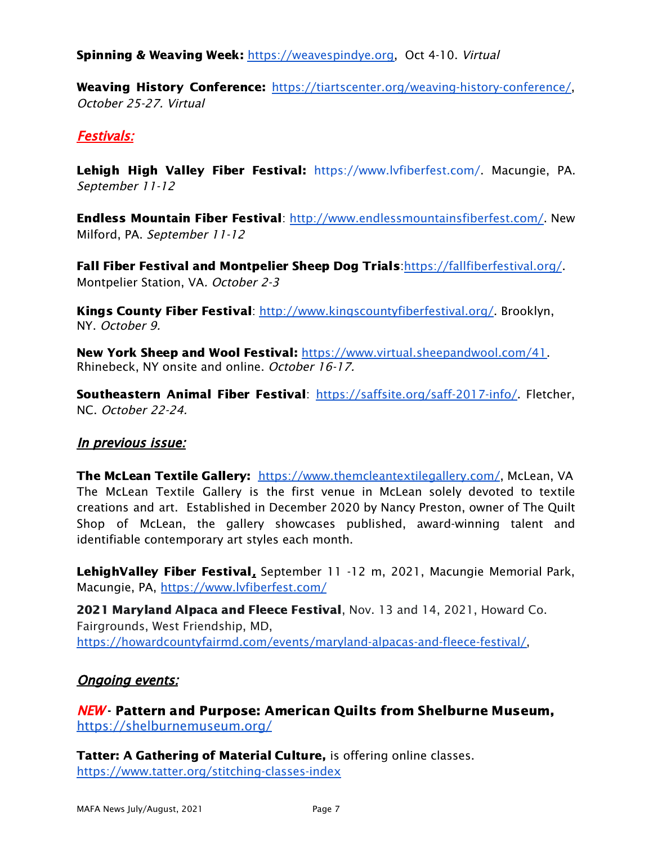**Spinning & Weaving Week: [https://weavespindye.org,](https://weavespindye.org/) Oct 4-10. Virtual** 

Weaving History Conference: [https://tiartscenter.org/weaving-history-conference/,](https://tiartscenter.org/weaving-history-conference/) October 25-27. Virtual

## Festivals:

Lehigh High Valley Fiber Festival: <https://www.lvfiberfest.com/>. Macungie, PA. September 11-12

Endless Mountain Fiber Festival: [http://www.endlessmountainsfiberfest.com/.](http://www.endlessmountainsfiberfest.com/) New Milford, PA. September 11-12

Fall Fiber Festival and Montpelier Sheep Dog Trials:<https://fallfiberfestival.org/>. Montpelier Station, VA. October 2-3

Kings County Fiber Festival: [http://www.kingscountyfiberfestival.org/.](http://www.kingscountyfiberfestival.org/) Brooklyn, NY. October 9.

New York Sheep and Wool Festival: [https://www.virtual.sheepandwool.com/41.](https://www.virtual.sheepandwool.com/41) Rhinebeck, NY onsite and online. October 16-17.

Southeastern Animal Fiber Festival: <https://saffsite.org/saff-2017-info/>. Fletcher, NC. October 22-24.

#### In previous issue:

The McLean Textile Gallery: <https://www.themcleantextilegallery.com/>, McLean, VA The McLean Textile Gallery is the first venue in McLean solely devoted to textile creations and art. Established in December 2020 by Nancy Preston, owner of The Quilt Shop of McLean, the gallery showcases published, award-winning talent and identifiable contemporary art styles each month.

LehighValley Fiber Festival, September 11 -12 m, 2021, Macungie Memorial Park, Macungie, PA, <https://www.lvfiberfest.com/>

2021 Maryland Alpaca and Fleece Festival, Nov. 13 and 14, 2021, Howard Co. Fairgrounds, West Friendship, MD, [https://howardcountyfairmd.com/events/maryland-alpacas-and-fleece-festival/,](https://howardcountyfairmd.com/events/maryland-alpacas-and-fleece-festival/)

## **Ongoing events:**

NEW - Pattern and Purpose: American Quilts from Shelburne Museum, <https://shelburnemuseum.org/>

Tatter: A Gathering of Material Culture, is offering online classes. <https://www.tatter.org/stitching-classes-index>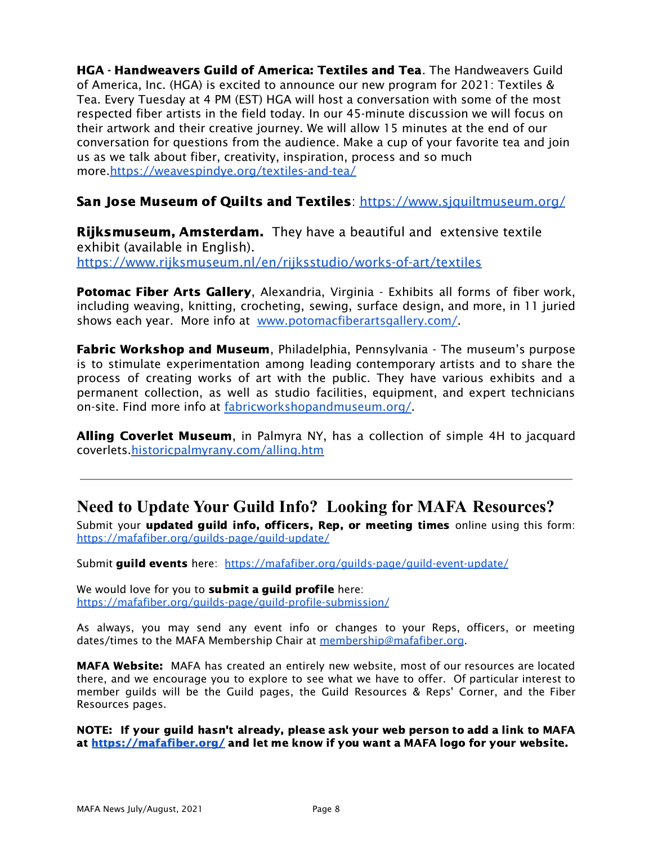HGA - Handweavers Guild of America: Textiles and Tea. The Handweavers Guild of America, Inc. (HGA) is excited to announce our new program for 2021: Textiles & Tea. Every Tuesday at 4 PM (EST) HGA will host a conversation with some of the most respected fiber artists in the field today. In our 45-minute discussion we will focus on their artwork and their creative journey. We will allow 15 minutes at the end of our conversation for questions from the audience. Make a cup of your favorite tea and join us as we talk about fiber, creativity, inspiration, process and so much more[.https://weavespindye.org/textiles-and-tea/](https://weavespindye.org/textiles-and-tea/)

## San Jose Museum of Quilts and Textiles: https://www.siquiltmuseum.org/

**Rijksmuseum, Amsterdam.** They have a beautiful and extensive textile exhibit (available in English). <https://www.rijksmuseum.nl/en/rijksstudio/works-of-art/textiles>

Potomac Fiber Arts Gallery, Alexandria, Virginia - Exhibits all forms of fiber work, including weaving, knitting, crocheting, sewing, surface design, and more, in 11 juried shows each year. More info at [www.potomacfiberartsgallery.com/](http://www.potomacfiberartsgallery.com/).

**Fabric Workshop and Museum**, Philadelphia, Pennsylvania - The museum's purpose is to stimulate experimentation among leading contemporary artists and to share the process of creating works of art with the public. They have various exhibits and a permanent collection, as well as studio facilities, equipment, and expert technicians on-site. Find more info at [fabricworkshopandmuseum.org/.](http://fabricworkshopandmuseum.org/)

**Alling Coverlet Museum**, in Palmyra NY, has a collection of simple 4H to jacquard coverlets[.historicpalmyrany.com/alling.htm](http://historicpalmyrany.com/alling.htm)

## **Need to Update Your Guild Info? Looking for MAFA Resources?**

Submit your updated quild info, officers, Rep, or meeting times online using this form: <https://mafafiber.org/guilds-page/guild-update/>

Submit guild events here: [https://mafafiber.org/guilds-page/guild-event-update/](http://mafafiber.org/guilds-page/guild-event-update/)

We would love for you to **submit a guild profile** here: <https://mafafiber.org/guilds-page/guild-profile-submission/>

As always, you may send any event info or changes to your Reps, officers, or meeting dates/times to the MAFA Membership Chair at [membership@mafafiber.org](mailto:membership@mafafiber.org).

MAFA Website: MAFA has created an entirely new website, most of our resources are located there, and we encourage you to explore to see what we have to offer. Of particular interest to member guilds will be the Guild pages, the Guild Resources & Reps' Corner, and the Fiber Resources pages.

NOTE: If your guild hasn't already, please ask your web person to add a link to MAFA at <https://mafafiber.org/> and let me know if you want a MAFA logo for your website.